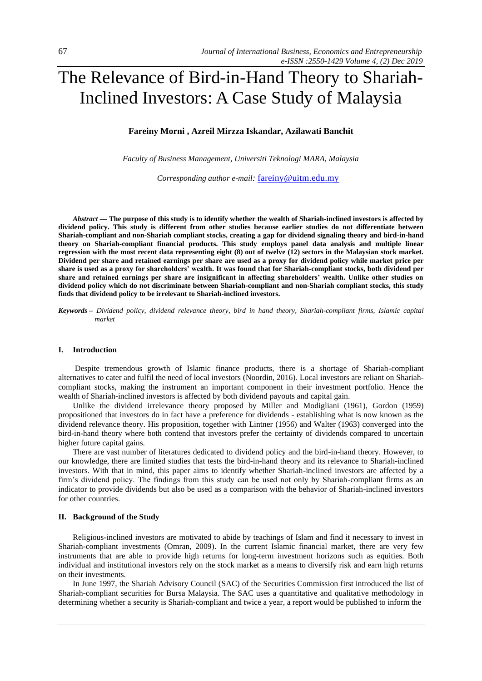# The Relevance of Bird-in-Hand Theory to Shariah-Inclined Investors: A Case Study of Malaysia

# **Fareiny Morni , Azreil Mirzza Iskandar, Azilawati Banchit**

*Faculty of Business Management, Universiti Teknologi MARA, Malaysia*

*Corresponding author e-mail:* [fareiny@uitm.edu.my](mailto:fareiny@uitm.edu.my)

*Abstract —* **The purpose of this study is to identify whether the wealth of Shariah-inclined investors is affected by dividend policy. This study is different from other studies because earlier studies do not differentiate between Shariah-compliant and non-Shariah compliant stocks, creating a gap for dividend signaling theory and bird-in-hand theory on Shariah-compliant financial products. This study employs panel data analysis and multiple linear regression with the most recent data representing eight (8) out of twelve (12) sectors in the Malaysian stock market. Dividend per share and retained earnings per share are used as a proxy for dividend policy while market price per share is used as a proxy for shareholders' wealth. It was found that for Shariah-compliant stocks, both dividend per share and retained earnings per share are insignificant in affecting shareholders' wealth. Unlike other studies on dividend policy which do not discriminate between Shariah-compliant and non-Shariah compliant stocks, this study finds that dividend policy to be irrelevant to Shariah-inclined investors.** 

*Keywords – Dividend policy, dividend relevance theory, bird in hand theory, Shariah-compliant firms, Islamic capital market*

## **I. Introduction**

Despite tremendous growth of Islamic finance products, there is a shortage of Shariah-compliant alternatives to cater and fulfil the need of local investors (Noordin, 2016). Local investors are reliant on Shariahcompliant stocks, making the instrument an important component in their investment portfolio. Hence the wealth of Shariah-inclined investors is affected by both dividend payouts and capital gain.

Unlike the dividend irrelevance theory proposed by Miller and Modigliani (1961), Gordon (1959) propositioned that investors do in fact have a preference for dividends - establishing what is now known as the dividend relevance theory. His proposition, together with Lintner (1956) and Walter (1963) converged into the bird-in-hand theory where both contend that investors prefer the certainty of dividends compared to uncertain higher future capital gains.

There are vast number of literatures dedicated to dividend policy and the bird-in-hand theory. However, to our knowledge, there are limited studies that tests the bird-in-hand theory and its relevance to Shariah-inclined investors. With that in mind, this paper aims to identify whether Shariah-inclined investors are affected by a firm's dividend policy. The findings from this study can be used not only by Shariah-compliant firms as an indicator to provide dividends but also be used as a comparison with the behavior of Shariah-inclined investors for other countries.

#### **II. Background of the Study**

Religious-inclined investors are motivated to abide by teachings of Islam and find it necessary to invest in Shariah-compliant investments (Omran, 2009). In the current Islamic financial market, there are very few instruments that are able to provide high returns for long-term investment horizons such as equities. Both individual and institutional investors rely on the stock market as a means to diversify risk and earn high returns on their investments.

In June 1997, the Shariah Advisory Council (SAC) of the Securities Commission first introduced the list of Shariah-compliant securities for Bursa Malaysia. The SAC uses a quantitative and qualitative methodology in determining whether a security is Shariah-compliant and twice a year, a report would be published to inform the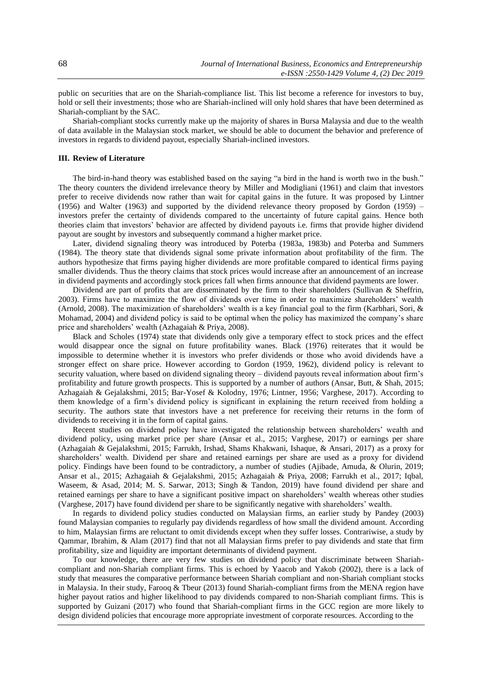public on securities that are on the Shariah-compliance list. This list become a reference for investors to buy, hold or sell their investments; those who are Shariah-inclined will only hold shares that have been determined as Shariah-compliant by the SAC.

Shariah-compliant stocks currently make up the majority of shares in Bursa Malaysia and due to the wealth of data available in the Malaysian stock market, we should be able to document the behavior and preference of investors in regards to dividend payout, especially Shariah-inclined investors.

#### **III. Review of Literature**

The bird-in-hand theory was established based on the saying "a bird in the hand is worth two in the bush." The theory counters the dividend irrelevance theory by Miller and Modigliani (1961) and claim that investors prefer to receive dividends now rather than wait for capital gains in the future. It was proposed by Lintner (1956) and Walter (1963) and supported by the dividend relevance theory proposed by Gordon (1959) – investors prefer the certainty of dividends compared to the uncertainty of future capital gains. Hence both theories claim that investors' behavior are affected by dividend payouts i.e. firms that provide higher dividend payout are sought by investors and subsequently command a higher market price.

Later, dividend signaling theory was introduced by Poterba (1983a, 1983b) and Poterba and Summers (1984). The theory state that dividends signal some private information about profitability of the firm. The authors hypothesize that firms paying higher dividends are more profitable compared to identical firms paying smaller dividends. Thus the theory claims that stock prices would increase after an announcement of an increase in dividend payments and accordingly stock prices fall when firms announce that dividend payments are lower.

Dividend are part of profits that are disseminated by the firm to their shareholders (Sullivan & Sheffrin, 2003). Firms have to maximize the flow of dividends over time in order to maximize shareholders' wealth (Arnold, 2008). The maximization of shareholders' wealth is a key financial goal to the firm (Karbhari, Sori, & Mohamad, 2004) and dividend policy is said to be optimal when the policy has maximized the company's share price and shareholders' wealth (Azhagaiah & Priya, 2008).

Black and Scholes (1974) state that dividends only give a temporary effect to stock prices and the effect would disappear once the signal on future profitability wanes. Black (1976) reiterates that it would be impossible to determine whether it is investors who prefer dividends or those who avoid dividends have a stronger effect on share price. However according to Gordon (1959, 1962), dividend policy is relevant to security valuation, where based on dividend signaling theory – dividend payouts reveal information about firm's profitability and future growth prospects. This is supported by a number of authors (Ansar, Butt, & Shah, 2015; Azhagaiah & Gejalakshmi, 2015; Bar-Yosef & Kolodny, 1976; Lintner, 1956; Varghese, 2017). According to them knowledge of a firm's dividend policy is significant in explaining the return received from holding a security. The authors state that investors have a net preference for receiving their returns in the form of dividends to receiving it in the form of capital gains.

Recent studies on dividend policy have investigated the relationship between shareholders' wealth and dividend policy, using market price per share (Ansar et al., 2015; Varghese, 2017) or earnings per share (Azhagaiah & Gejalakshmi, 2015; Farrukh, Irshad, Shams Khakwani, Ishaque, & Ansari, 2017) as a proxy for shareholders' wealth. Dividend per share and retained earnings per share are used as a proxy for dividend policy. Findings have been found to be contradictory, a number of studies (Ajibade, Amuda, & Olurin, 2019; Ansar et al., 2015; Azhagaiah & Gejalakshmi, 2015; Azhagaiah & Priya, 2008; Farrukh et al., 2017; Iqbal, Waseem, & Asad, 2014; M. S. Sarwar, 2013; Singh & Tandon, 2019) have found dividend per share and retained earnings per share to have a significant positive impact on shareholders' wealth whereas other studies (Varghese, 2017) have found dividend per share to be significantly negative with shareholders' wealth.

In regards to dividend policy studies conducted on Malaysian firms, an earlier study by Pandey (2003) found Malaysian companies to regularly pay dividends regardless of how small the dividend amount. According to him, Malaysian firms are reluctant to omit dividends except when they suffer losses. Contrariwise, a study by Qammar, Ibrahim, & Alam (2017) find that not all Malaysian firms prefer to pay dividends and state that firm profitability, size and liquidity are important determinants of dividend payment.

To our knowledge, there are very few studies on dividend policy that discriminate between Shariahcompliant and non-Shariah compliant firms. This is echoed by Yaacob and Yakob (2002), there is a lack of study that measures the comparative performance between Shariah compliant and non-Shariah compliant stocks in Malaysia. In their study, Farooq & Tbeur (2013) found Shariah-compliant firms from the MENA region have higher payout ratios and higher likelihood to pay dividends compared to non-Shariah compliant firms. This is supported by Guizani (2017) who found that Shariah-compliant firms in the GCC region are more likely to design dividend policies that encourage more appropriate investment of corporate resources. According to the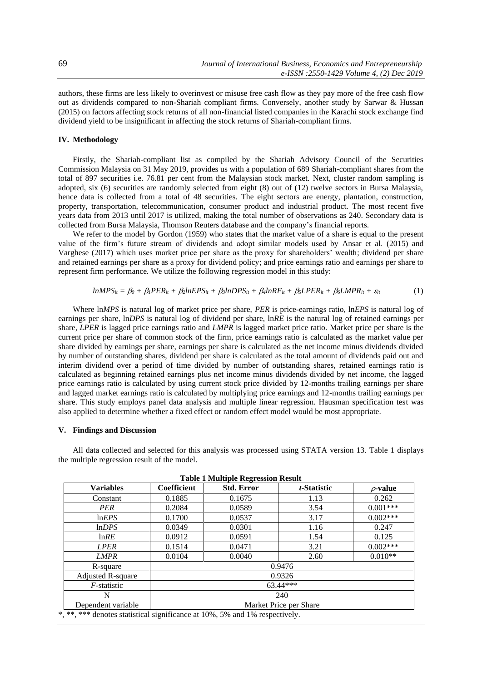authors, these firms are less likely to overinvest or misuse free cash flow as they pay more of the free cash flow out as dividends compared to non-Shariah compliant firms. Conversely, another study by Sarwar & Hussan (2015) on factors affecting stock returns of all non-financial listed companies in the Karachi stock exchange find dividend yield to be insignificant in affecting the stock returns of Shariah-compliant firms.

## **IV. Methodology**

Firstly, the Shariah-compliant list as compiled by the Shariah Advisory Council of the Securities Commission Malaysia on 31 May 2019, provides us with a population of 689 Shariah-compliant shares from the total of 897 securities i.e. 76.81 per cent from the Malaysian stock market. Next, cluster random sampling is adopted, six (6) securities are randomly selected from eight (8) out of (12) twelve sectors in Bursa Malaysia, hence data is collected from a total of 48 securities. The eight sectors are energy, plantation, construction, property, transportation, telecommunication, consumer product and industrial product. The most recent five years data from 2013 until 2017 is utilized, making the total number of observations as 240. Secondary data is collected from Bursa Malaysia, Thomson Reuters database and the company's financial reports.

We refer to the model by Gordon (1959) who states that the market value of a share is equal to the present value of the firm's future stream of dividends and adopt similar models used by Ansar et al. (2015) and Varghese (2017) which uses market price per share as the proxy for shareholders' wealth; dividend per share and retained earnings per share as a proxy for dividend policy; and price earnings ratio and earnings per share to represent firm performance. We utilize the following regression model in this study:

$$
lnMPS_{it} = \beta_0 + \beta_1 PER_{it} + \beta_2 lnEPS_{it} + \beta_3 lnDPS_{it} + \beta_4 lnRE_{it} + \beta_5 LPER_{it} + \beta_6 LMPR_{it} + \varepsilon_{it}
$$
 (1)

Where ln*MPS* is natural log of market price per share, *PER* is price-earnings ratio, ln*EPS* is natural log of earnings per share, ln*DPS* is natural log of dividend per share, ln*RE* is the natural log of retained earnings per share, *LPER* is lagged price earnings ratio and *LMPR* is lagged market price ratio. Market price per share is the current price per share of common stock of the firm, price earnings ratio is calculated as the market value per share divided by earnings per share, earnings per share is calculated as the net income minus dividends divided by number of outstanding shares, dividend per share is calculated as the total amount of dividends paid out and interim dividend over a period of time divided by number of outstanding shares, retained earnings ratio is calculated as beginning retained earnings plus net income minus dividends divided by net income, the lagged price earnings ratio is calculated by using current stock price divided by 12-months trailing earnings per share and lagged market earnings ratio is calculated by multiplying price earnings and 12-months trailing earnings per share. This study employs panel data analysis and multiple linear regression. Hausman specification test was also applied to determine whether a fixed effect or random effect model would be most appropriate.

## **V. Findings and Discussion**

All data collected and selected for this analysis was processed using STATA version 13. [Table 1](#page-2-0) displays the multiple regression result of the model.

<span id="page-2-0"></span>

| <b>Variables</b>                                                            | Coefficient            | <b>Std. Error</b> | t-Statistic | $\rho$ -value |
|-----------------------------------------------------------------------------|------------------------|-------------------|-------------|---------------|
| Constant                                                                    | 0.1885                 | 0.1675            | 1.13        | 0.262         |
| PER                                                                         | 0.2084                 | 0.0589            | 3.54        | $0.001***$    |
| lnEPS                                                                       | 0.1700                 | 0.0537            | 3.17        | $0.002***$    |
| lnDPS                                                                       | 0.0349                 | 0.0301            | 1.16        | 0.247         |
| lnRE                                                                        | 0.0912                 | 0.0591            | 1.54        | 0.125         |
| LPER                                                                        | 0.1514                 | 0.0471            | 3.21        | $0.002***$    |
| <b>LMPR</b>                                                                 | 0.0104                 | 0.0040            | 2.60        | $0.010**$     |
| R-square                                                                    | 0.9476                 |                   |             |               |
| Adjusted R-square                                                           | 0.9326                 |                   |             |               |
| $F$ -statistic                                                              | $63.44***$             |                   |             |               |
| N                                                                           | 240                    |                   |             |               |
| Dependent variable                                                          | Market Price per Share |                   |             |               |
| *, **, *** denotes statistical significance at 10%, 5% and 1% respectively. |                        |                   |             |               |

| <b>Table 1 Multiple Regression Result</b> |  |  |  |  |  |
|-------------------------------------------|--|--|--|--|--|
|-------------------------------------------|--|--|--|--|--|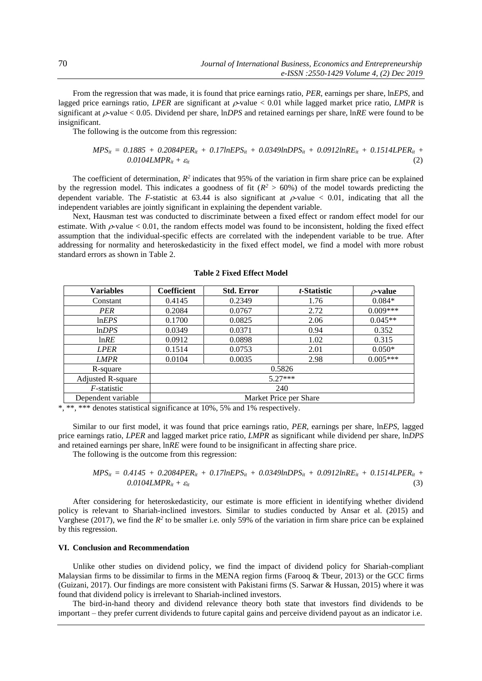From the regression that was made, it is found that price earnings ratio, *PER*, earnings per share, ln*EPS*, and lagged price earnings ratio, *LPER* are significant at  $\rho$ -value  $\lt 0.01$  while lagged market price ratio, *LMPR* is significant at  $\rho$ -value < 0.05. Dividend per share, ln*DPS* and retained earnings per share, ln*RE* were found to be insignificant.

The following is the outcome from this regression:

$$
MPS_{it} = 0.1885 + 0.2084PER_{it} + 0.17lnEPS_{it} + 0.0349lnDPS_{it} + 0.0912lnRE_{it} + 0.1514LPER_{it} + 0.0104LMPR_{it} + \varepsilon_{it}
$$
\n(2)

The coefficient of determination,  $R^2$  indicates that 95% of the variation in firm share price can be explained by the regression model. This indicates a goodness of fit ( $R^2 > 60\%$ ) of the model towards predicting the dependent variable. The *F*-statistic at 63.44 is also significant at  $\rho$ -value < 0.01, indicating that all the independent variables are jointly significant in explaining the dependent variable.

Next, Hausman test was conducted to discriminate between a fixed effect or random effect model for our estimate. With  $\rho$ -value < 0.01, the random effects model was found to be inconsistent, holding the fixed effect assumption that the individual-specific effects are correlated with the independent variable to be true. After addressing for normality and heteroskedasticity in the fixed effect model, we find a model with more robust standard errors as shown in [Table 2.](#page-3-0)

<span id="page-3-0"></span>

| <b>Variables</b>         | Coefficient            | <b>Std. Error</b> | t-Statistic | $\rho$ -value |
|--------------------------|------------------------|-------------------|-------------|---------------|
| Constant                 | 0.4145                 | 0.2349            | 1.76        | $0.084*$      |
| PER                      | 0.2084                 | 0.0767            | 2.72        | $0.009***$    |
| lnEPS                    | 0.1700                 | 0.0825            | 2.06        | $0.045**$     |
| lnDPS                    | 0.0349                 | 0.0371            | 0.94        | 0.352         |
| lnRE                     | 0.0912                 | 0.0898            | 1.02        | 0.315         |
| <b>LPER</b>              | 0.1514                 | 0.0753            | 2.01        | $0.050*$      |
| <b>LMPR</b>              | 0.0104                 | 0.0035            | 2.98        | $0.005***$    |
| R-square                 | 0.5826                 |                   |             |               |
| <b>Adjusted R-square</b> | $5.27***$              |                   |             |               |
| $F$ -statistic           | 240                    |                   |             |               |
| Dependent variable       | Market Price per Share |                   |             |               |

|  |  |  |  | <b>Table 2 Fixed Effect Model</b> |
|--|--|--|--|-----------------------------------|
|--|--|--|--|-----------------------------------|

\*, \*\*, \*\*\* denotes statistical significance at 10%, 5% and 1% respectively.

Similar to our first model, it was found that price earnings ratio, *PER*, earnings per share, ln*EPS*, lagged price earnings ratio, *LPER* and lagged market price ratio, *LMPR* as significant while dividend per share, ln*DPS* and retained earnings per share, ln*RE* were found to be insignificant in affecting share price.

The following is the outcome from this regression:

$$
MPS_{it} = 0.4145 + 0.2084PER_{it} + 0.17lnEPS_{it} + 0.0349lnDPS_{it} + 0.0912lnRE_{it} + 0.1514LPER_{it} + 0.0104LMPR_{it} + \varepsilon_{it}
$$
\n(3)

After considering for heteroskedasticity, our estimate is more efficient in identifying whether dividend policy is relevant to Shariah-inclined investors. Similar to studies conducted by Ansar et al. (2015) and Varghese (2017), we find the  $R^2$  to be smaller i.e. only 59% of the variation in firm share price can be explained by this regression.

## **VI. Conclusion and Recommendation**

Unlike other studies on dividend policy, we find the impact of dividend policy for Shariah-compliant Malaysian firms to be dissimilar to firms in the MENA region firms (Farooq & Tbeur, 2013) or the GCC firms (Guizani, 2017). Our findings are more consistent with Pakistani firms (S. Sarwar & Hussan, 2015) where it was found that dividend policy is irrelevant to Shariah-inclined investors.

The bird-in-hand theory and dividend relevance theory both state that investors find dividends to be important – they prefer current dividends to future capital gains and perceive dividend payout as an indicator i.e.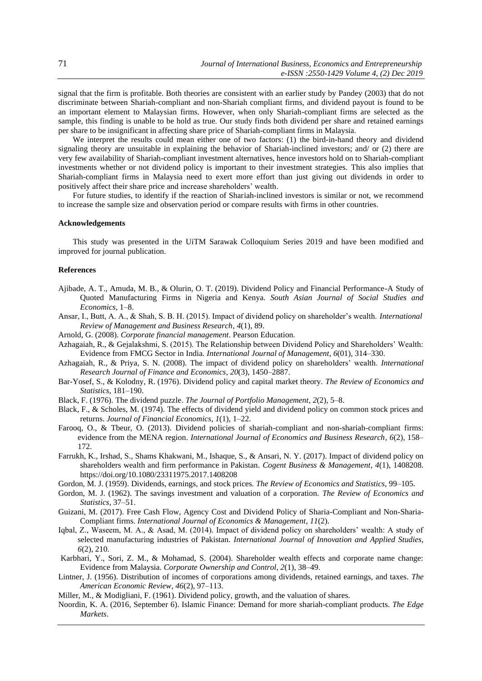signal that the firm is profitable. Both theories are consistent with an earlier study by Pandey (2003) that do not discriminate between Shariah-compliant and non-Shariah compliant firms, and dividend payout is found to be an important element to Malaysian firms. However, when only Shariah-compliant firms are selected as the sample, this finding is unable to be hold as true. Our study finds both dividend per share and retained earnings per share to be insignificant in affecting share price of Shariah-compliant firms in Malaysia.

We interpret the results could mean either one of two factors: (1) the bird-in-hand theory and dividend signaling theory are unsuitable in explaining the behavior of Shariah-inclined investors; and/ or (2) there are very few availability of Shariah-compliant investment alternatives, hence investors hold on to Shariah-compliant investments whether or not dividend policy is important to their investment strategies. This also implies that Shariah-compliant firms in Malaysia need to exert more effort than just giving out dividends in order to positively affect their share price and increase shareholders' wealth.

For future studies, to identify if the reaction of Shariah-inclined investors is similar or not, we recommend to increase the sample size and observation period or compare results with firms in other countries.

#### **Acknowledgements**

This study was presented in the UiTM Sarawak Colloquium Series 2019 and have been modified and improved for journal publication.

#### **References**

- Ajibade, A. T., Amuda, M. B., & Olurin, O. T. (2019). Dividend Policy and Financial Performance-A Study of Quoted Manufacturing Firms in Nigeria and Kenya. *South Asian Journal of Social Studies and Economics*, 1–8.
- Ansar, I., Butt, A. A., & Shah, S. B. H. (2015). Impact of dividend policy on shareholder's wealth. *International Review of Management and Business Research*, *4*(1), 89.
- Arnold, G. (2008). *Corporate financial management*. Pearson Education.
- Azhagaiah, R., & Gejalakshmi, S. (2015). The Relationship between Dividend Policy and Shareholders' Wealth: Evidence from FMCG Sector in India. *International Journal of Management*, *6*(01), 314–330.
- Azhagaiah, R., & Priya, S. N. (2008). The impact of dividend policy on shareholders' wealth. *International Research Journal of Finance and Economics*, *20*(3), 1450–2887.
- Bar-Yosef, S., & Kolodny, R. (1976). Dividend policy and capital market theory. *The Review of Economics and Statistics*, 181–190.
- Black, F. (1976). The dividend puzzle. *The Journal of Portfolio Management*, *2*(2), 5–8.
- Black, F., & Scholes, M. (1974). The effects of dividend yield and dividend policy on common stock prices and returns. *Journal of Financial Economics*, *1*(1), 1–22.
- Farooq, O., & Tbeur, O. (2013). Dividend policies of shariah-compliant and non-shariah-compliant firms: evidence from the MENA region. *International Journal of Economics and Business Research*, *6*(2), 158– 172.
- Farrukh, K., Irshad, S., Shams Khakwani, M., Ishaque, S., & Ansari, N. Y. (2017). Impact of dividend policy on shareholders wealth and firm performance in Pakistan. *Cogent Business & Management*, *4*(1), 1408208. https://doi.org/10.1080/23311975.2017.1408208
- Gordon, M. J. (1959). Dividends, earnings, and stock prices. *The Review of Economics and Statistics*, 99–105.
- Gordon, M. J. (1962). The savings investment and valuation of a corporation. *The Review of Economics and Statistics*, 37–51.
- Guizani, M. (2017). Free Cash Flow, Agency Cost and Dividend Policy of Sharia-Compliant and Non-Sharia-Compliant firms. *International Journal of Economics & Management*, *11*(2).
- Iqbal, Z., Waseem, M. A., & Asad, M. (2014). Impact of dividend policy on shareholders' wealth: A study of selected manufacturing industries of Pakistan. *International Journal of Innovation and Applied Studies*, *6*(2), 210.
- Karbhari, Y., Sori, Z. M., & Mohamad, S. (2004). Shareholder wealth effects and corporate name change: Evidence from Malaysia. *Corporate Ownership and Control*, *2*(1), 38–49.
- Lintner, J. (1956). Distribution of incomes of corporations among dividends, retained earnings, and taxes. *The American Economic Review*, *46*(2), 97–113.
- Miller, M., & Modigliani, F. (1961). Dividend policy, growth, and the valuation of shares.
- Noordin, K. A. (2016, September 6). Islamic Finance: Demand for more shariah-compliant products. *The Edge Markets*.